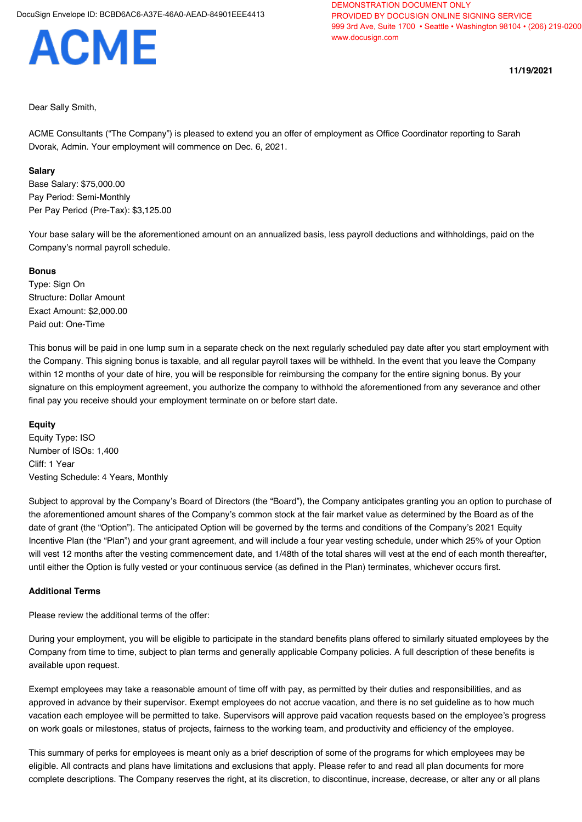# **ACME**

**11/19/2021**

## Dear Sally Smith,

ACME Consultants ("The Company") is pleased to extend you an offer of employment as Office Coordinator reporting to Sarah Dvorak, Admin. Your employment will commence on Dec. 6, 2021.

## **Salary**

Base Salary: \$75,000.00 Pay Period: Semi-Monthly Per Pay Period (Pre-Tax): \$3,125.00

Your base salary will be the aforementioned amount on an annualized basis, less payroll deductions and withholdings, paid on the Company's normal payroll schedule.

## **Bonus**

Type: Sign On Structure: Dollar Amount Exact Amount: \$2,000.00 Paid out: One-Time

This bonus will be paid in one lump sum in a separate check on the next regularly scheduled pay date after you start employment with the Company. This signing bonus is taxable, and all regular payroll taxes will be withheld. In the event that you leave the Company within 12 months of your date of hire, you will be responsible for reimbursing the company for the entire signing bonus. By your signature on this employment agreement, you authorize the company to withhold the aforementioned from any severance and other final pay you receive should your employment terminate on or before start date.

## **Equity**

Equity Type: ISO Number of ISOs: 1,400 Cliff: 1 Year Vesting Schedule: 4 Years, Monthly

Subject to approval by the Company's Board of Directors (the "Board"), the Company anticipates granting you an option to purchase of the aforementioned amount shares of the Company's common stock at the fair market value as determined by the Board as of the date of grant (the "Option"). The anticipated Option will be governed by the terms and conditions of the Company's 2021 Equity Incentive Plan (the "Plan") and your grant agreement, and will include a four year vesting schedule, under which 25% of your Option will vest 12 months after the vesting commencement date, and 1/48th of the total shares will vest at the end of each month thereafter, until either the Option is fully vested or your continuous service (as defined in the Plan) terminates, whichever occurs first.

## **Additional Terms**

Please review the additional terms of the offer:

During your employment, you will be eligible to participate in the standard benefits plans offered to similarly situated employees by the Company from time to time, subject to plan terms and generally applicable Company policies. A full description of these benefits is available upon request.

Exempt employees may take a reasonable amount of time off with pay, as permitted by their duties and responsibilities, and as approved in advance by their supervisor. Exempt employees do not accrue vacation, and there is no set guideline as to how much vacation each employee will be permitted to take. Supervisors will approve paid vacation requests based on the employee's progress on work goals or milestones, status of projects, fairness to the working team, and productivity and efficiency of the employee.

This summary of perks for employees is meant only as a brief description of some of the programs for which employees may be eligible. All contracts and plans have limitations and exclusions that apply. Please refer to and read all plan documents for more complete descriptions. The Company reserves the right, at its discretion, to discontinue, increase, decrease, or alter any or all plans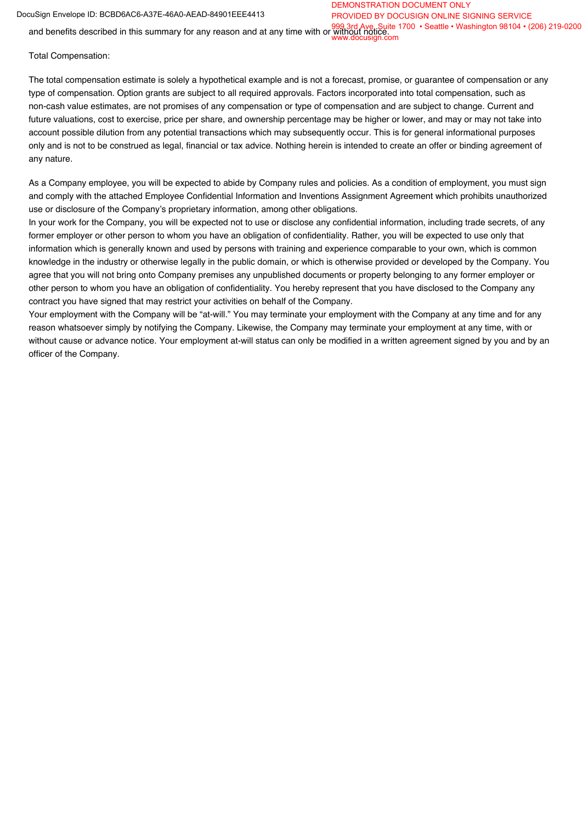#### DocuSign Envelope ID: BCBD6AC6-A37E-46A0-AEAD-84901EEE4413

#### DEMONSTRATION DOCUMENT ONLY PROVIDED BY DOCUSIGN ONLINE SIGNING SERVICE

and benefits described in this summary for any reason and at any time with or without notice...<br>and benefits described in this summary for any reason and at any time with or without notice... www.docusign.com

Total Compensation:

The total compensation estimate is solely a hypothetical example and is not a forecast, promise, or guarantee of compensation or any type of compensation. Option grants are subject to all required approvals. Factors incorporated into total compensation, such as non-cash value estimates, are not promises of any compensation or type of compensation and are subject to change. Current and future valuations, cost to exercise, price per share, and ownership percentage may be higher or lower, and may or may not take into account possible dilution from any potential transactions which may subsequently occur. This is for general informational purposes only and is not to be construed as legal, financial or tax advice. Nothing herein is intended to create an offer or binding agreement of any nature.

As a Company employee, you will be expected to abide by Company rules and policies. As a condition of employment, you must sign and comply with the attached Employee Confidential Information and Inventions Assignment Agreement which prohibits unauthorized use or disclosure of the Company's proprietary information, among other obligations.

In your work for the Company, you will be expected not to use or disclose any confidential information, including trade secrets, of any former employer or other person to whom you have an obligation of confidentiality. Rather, you will be expected to use only that information which is generally known and used by persons with training and experience comparable to your own, which is common knowledge in the industry or otherwise legally in the public domain, or which is otherwise provided or developed by the Company. You agree that you will not bring onto Company premises any unpublished documents or property belonging to any former employer or other person to whom you have an obligation of confidentiality. You hereby represent that you have disclosed to the Company any contract you have signed that may restrict your activities on behalf of the Company.

Your employment with the Company will be "at-will." You may terminate your employment with the Company at any time and for any reason whatsoever simply by notifying the Company. Likewise, the Company may terminate your employment at any time, with or without cause or advance notice. Your employment at-will status can only be modified in a written agreement signed by you and by an officer of the Company.